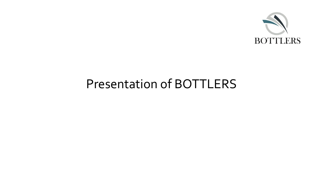

### Presentation of BOTTLERS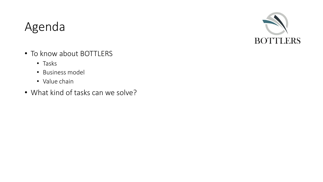### Agenda



- To know about BOTTLERS
	- Tasks
	- Business model
	- Value chain
- What kind of tasks can we solve?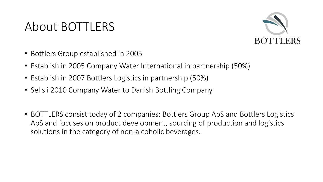### About BOTTLERS



- Bottlers Group established in 2005
- Establish in 2005 Company Water International in partnership (50%)
- Establish in 2007 Bottlers Logistics in partnership (50%)
- Sells i 2010 Company Water to Danish Bottling Company
- BOTTLERS consist today of 2 companies: Bottlers Group ApS and Bottlers Logistics ApS and focuses on product development, sourcing of production and logistics solutions in the category of non-alcoholic beverages.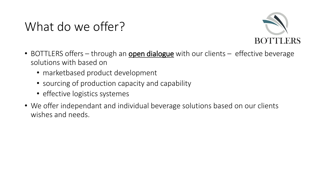# What do we offer?



- BOTTLERS offers through an **open dialogue** with our clients effective beverage solutions with based on
	- marketbased product development
	- sourcing of production capacity and capability
	- effective logistics systemes
- We offer independant and individual beverage solutions based on our clients wishes and needs.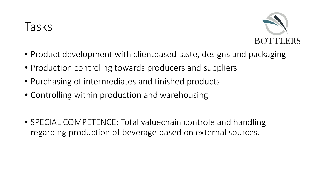# Tasks



- Product development with clientbased taste, designs and packaging
- Production controling towards producers and suppliers
- Purchasing of intermediates and finished products
- Controlling within production and warehousing
- SPECIAL COMPETENCE: Total valuechain controle and handling regarding production of beverage based on external sources.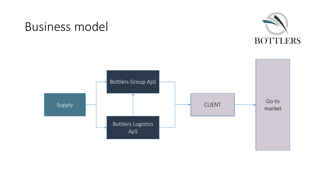

### Business model

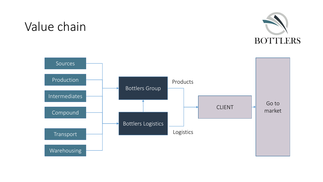# Value chain



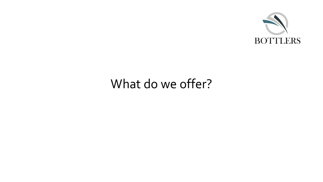

# What do we offer?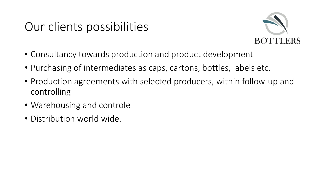# Our clients possibilities



- Consultancy towards production and product development
- Purchasing of intermediates as caps, cartons, bottles, labels etc.
- Production agreements with selected producers, within follow-up and controlling
- Warehousing and controle
- Distribution world wide.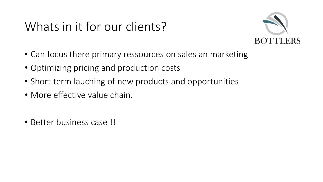# Whats in it for our clients?



- Can focus there primary ressources on sales an marketing
- Optimizing pricing and production costs
- Short term lauching of new products and opportunities
- More effective value chain.
- Better business case !!